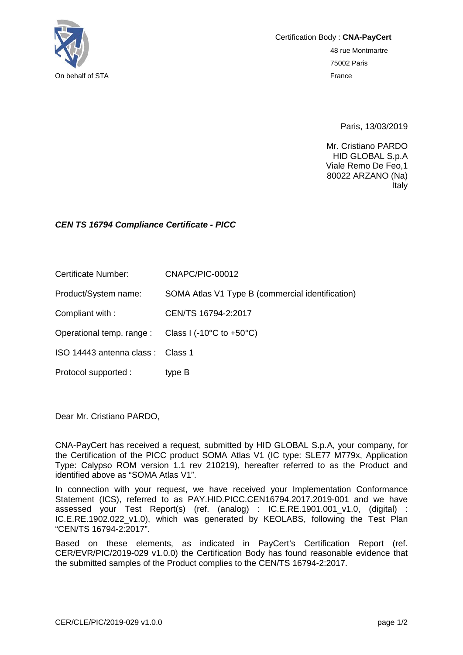

Certification Body : **CNA-PayCert** 48 rue Montmartre 75002 Paris

Paris, 13/03/2019

Mr. Cristiano PARDO HID GLOBAL S.p.A Viale Remo De Feo,1 80022 ARZANO (Na) Italy

## *CEN TS 16794 Compliance Certificate - PICC*

Certificate Number: CNAPC/PIC-00012

Product/System name: SOMA Atlas V1 Type B (commercial identification)

Compliant with : CEN/TS 16794-2:2017

Operational temp. range : Class I (-10°C to +50°C)

ISO 14443 antenna class : Class 1

Protocol supported : type B

Dear Mr. Cristiano PARDO,

CNA-PayCert has received a request, submitted by HID GLOBAL S.p.A, your company, for the Certification of the PICC product SOMA Atlas V1 (IC type: SLE77 M779x, Application Type: Calypso ROM version 1.1 rev 210219), hereafter referred to as the Product and identified above as "SOMA Atlas V1".

In connection with your request, we have received your Implementation Conformance Statement (ICS), referred to as PAY.HID.PICC.CEN16794.2017.2019-001 and we have assessed your Test Report(s) (ref. (analog) : IC.E.RE.1901.001\_v1.0, (digital) : IC.E.RE.1902.022\_v1.0), which was generated by KEOLABS, following the Test Plan "CEN/TS 16794-2:2017".

Based on these elements, as indicated in PayCert's Certification Report (ref. CER/EVR/PIC/2019-029 v1.0.0) the Certification Body has found reasonable evidence that the submitted samples of the Product complies to the CEN/TS 16794-2:2017.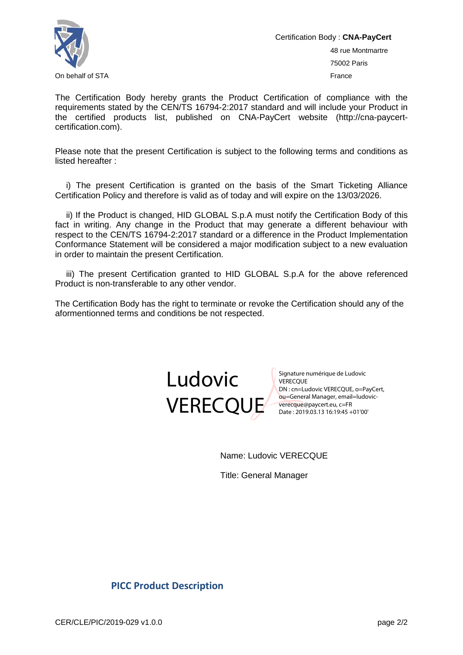

Certification Body : **CNA-PayCert** 48 rue Montmartre 75002 Paris On behalf of STA France Controller Controller Controller Controller Controller Controller Controller Controller Controller Controller Controller Controller Controller Controller Controller Controller Controller Controller

The Certification Body hereby grants the Product Certification of compliance with the requirements stated by the CEN/TS 16794-2:2017 standard and will include your Product in the certified products list, published on CNA-PayCert website (http://cna-paycertcertification.com).

Please note that the present Certification is subject to the following terms and conditions as listed hereafter :

i) The present Certification is granted on the basis of the Smart Ticketing Alliance Certification Policy and therefore is valid as of today and will expire on the 13/03/2026.

ii) If the Product is changed, HID GLOBAL S.p.A must notify the Certification Body of this fact in writing. Any change in the Product that may generate a different behaviour with respect to the CEN/TS 16794-2:2017 standard or a difference in the Product Implementation Conformance Statement will be considered a major modification subject to a new evaluation in order to maintain the present Certification.

iii) The present Certification granted to HID GLOBAL S.p.A for the above referenced Product is non-transferable to any other vendor.

The Certification Body has the right to terminate or revoke the Certification should any of the aformentionned terms and conditions be not respected.



Signature numérique de Ludovic VERECQUE Signature *indices*<br>
VERECQUE<br>
DN : cn=Ludovic VERECQUE, o=PayCert,<br>
The set of Manager, email=ludovicou=General Manager, email=ludovicverecque@paycert.eu, c=FR Date : 2019.03.13 16:19:45 +01'00'

Name: Ludovic VERECQUE

Title: General Manager

## **PICC Product Description**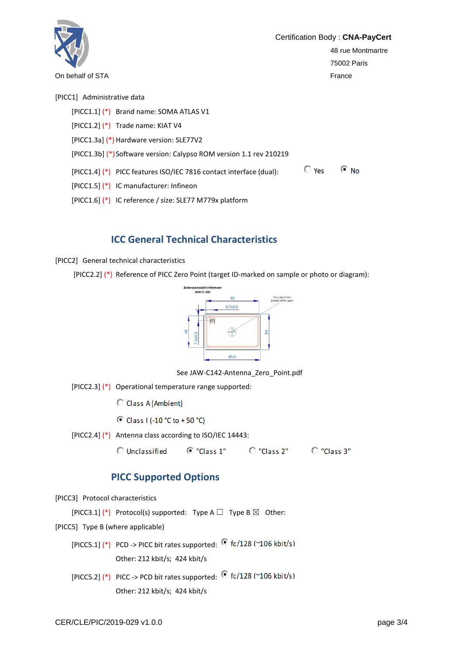

[PICC1.6] (\*) IC reference / size: SLE77 M779x platform

## **ICC General Technical Characteristics**

[PICC2] General technical characteristics

[PICC2.2] (\*) Reference of PICC Zero Point (target ID-marked on sample or photo or diagram):



See JAW-C142-Antenna\_Zero\_Point.pdf

[PICC2.3] (\*) Operational temperature range supported:

C Class A (Ambient)

© Class I (-10 °C to +50 °C)

[PICC2.4] (\*) Antenna class according to ISO/IEC 14443:

 $\overline{O}$  "Class 1"  $\overline{O}$  "Class 2"  $\overline{O}$  "Class 3" **Unclassified** 

## **PICC Supported Options**

[PICC3] Protocol characteristics

[PICC3.1] (\*) Protocol(s) supported: Type A  $\Box$  Type B  $\boxtimes$  Other:

[PICC5] Type B (where applicable)

- [PICC5.1] (\*) PCD -> PICC bit rates supported:  $\bullet$  fc/128 (~106 kbit/s) Other: 212 kbit/s; 424 kbit/s
- [PICC5.2] (\*) PICC -> PCD bit rates supported:  $\bullet$  fc/128 (~106 kbit/s) Other: 212 kbit/s; 424 kbit/s